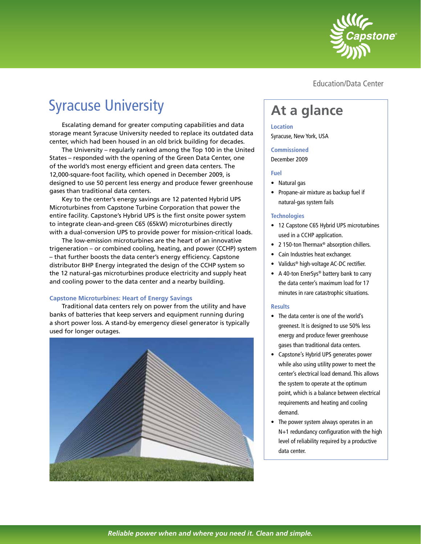

Education/Data Center

# Syracuse University

Escalating demand for greater computing capabilities and data storage meant Syracuse University needed to replace its outdated data center, which had been housed in an old brick building for decades.

The University – regularly ranked among the Top 100 in the United States – responded with the opening of the Green Data Center, one of the world's most energy efficient and green data centers. The 12,000-square-foot facility, which opened in December 2009, is designed to use 50 percent less energy and produce fewer greenhouse gases than traditional data centers.

Key to the center's energy savings are 12 patented Hybrid UPS Microturbines from Capstone Turbine Corporation that power the entire facility. Capstone's Hybrid UPS is the first onsite power system to integrate clean-and-green C65 (65kW) microturbines directly with a dual-conversion UPS to provide power for mission-critical loads.

The low-emission microturbines are the heart of an innovative trigeneration – or combined cooling, heating, and power (CCHP) system – that further boosts the data center's energy efficiency. Capstone distributor BHP Energy integrated the design of the CCHP system so the 12 natural-gas microturbines produce electricity and supply heat and cooling power to the data center and a nearby building.

#### **Capstone Microturbines: Heart of Energy Savings**

Traditional data centers rely on power from the utility and have banks of batteries that keep servers and equipment running during a short power loss. A stand-by emergency diesel generator is typically used for longer outages.



## **At a glance**

#### **Location**

Syracuse, New York, USA

#### **Commissioned**

December 2009

#### **Fuel**

- Natural gas
- Propane-air mixture as backup fuel if natural-gas system fails

#### **Technologies**

- 12 Capstone C65 Hybrid UPS microturbines used in a CCHP application.
- 2 150-ton Thermax<sup>®</sup> absorption chillers.
- Cain Industries heat exchanger.
- Validus® high-voltage AC-DC rectifier.
- A 40-ton EnerSys® battery bank to carry the data center's maximum load for 17 minutes in rare catastrophic situations.

#### **Results**

- The data center is one of the world's greenest. It is designed to use 50% less energy and produce fewer greenhouse gases than traditional data centers.
- Capstone's Hybrid UPS generates power while also using utility power to meet the center's electrical load demand. This allows the system to operate at the optimum point, which is a balance between electrical requirements and heating and cooling demand.
- The power system always operates in an N+1 redundancy configuration with the high level of reliability required by a productive data center.